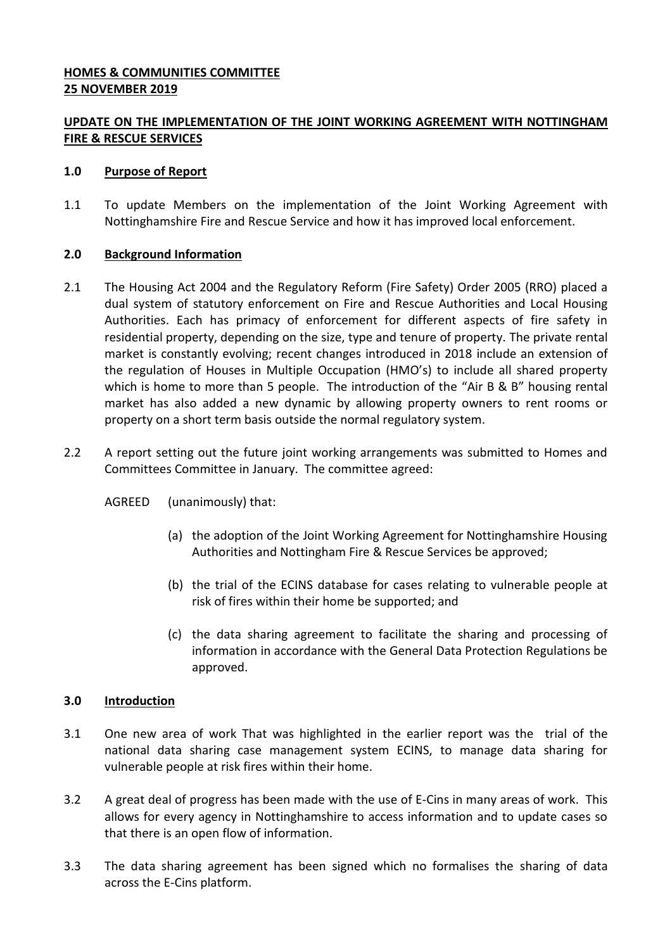## **UPDATE ON THE IMPLEMENTATION OF THE JOINT WORKING AGREEMENT WITH NOTTINGHAM FIRE & RESCUE SERVICES**

### **1.0 Purpose of Report**

1.1 To update Members on the implementation of the Joint Working Agreement with Nottinghamshire Fire and Rescue Service and how it has improved local enforcement.

### **2.0 Background Information**

- 2.1 The Housing Act 2004 and the Regulatory Reform (Fire Safety) Order 2005 (RRO) placed a dual system of statutory enforcement on Fire and Rescue Authorities and Local Housing Authorities. Each has primacy of enforcement for different aspects of fire safety in residential property, depending on the size, type and tenure of property. The private rental market is constantly evolving; recent changes introduced in 2018 include an extension of the regulation of Houses in Multiple Occupation (HMO's) to include all shared property which is home to more than 5 people. The introduction of the "Air B & B" housing rental market has also added a new dynamic by allowing property owners to rent rooms or property on a short term basis outside the normal regulatory system.
- 2.2 A report setting out the future joint working arrangements was submitted to Homes and Committees Committee in January. The committee agreed:

## AGREED (unanimously) that:

- (a) the adoption of the Joint Working Agreement for Nottinghamshire Housing Authorities and Nottingham Fire & Rescue Services be approved;
- (b) the trial of the ECINS database for cases relating to vulnerable people at risk of fires within their home be supported; and
- (c) the data sharing agreement to facilitate the sharing and processing of information in accordance with the General Data Protection Regulations be approved.

## **3.0 Introduction**

- 3.1 One new area of work That was highlighted in the earlier report was the trial of the national data sharing case management system ECINS, to manage data sharing for vulnerable people at risk fires within their home.
- 3.2 A great deal of progress has been made with the use of E-Cins in many areas of work. This allows for every agency in Nottinghamshire to access information and to update cases so that there is an open flow of information.
- 3.3 The data sharing agreement has been signed which no formalises the sharing of data across the E-Cins platform.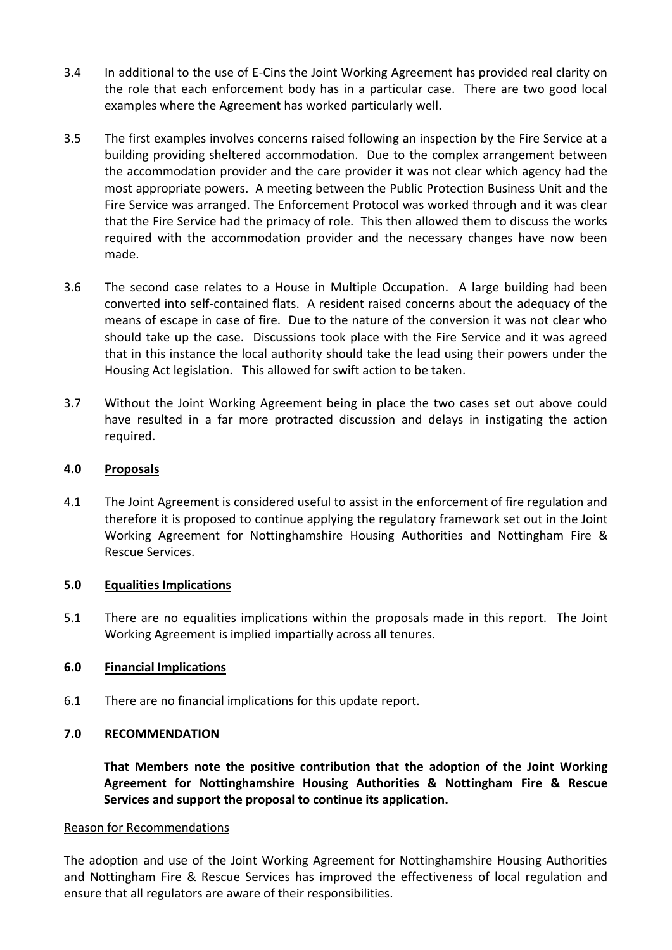- 3.4 In additional to the use of E-Cins the Joint Working Agreement has provided real clarity on the role that each enforcement body has in a particular case. There are two good local examples where the Agreement has worked particularly well.
- 3.5 The first examples involves concerns raised following an inspection by the Fire Service at a building providing sheltered accommodation. Due to the complex arrangement between the accommodation provider and the care provider it was not clear which agency had the most appropriate powers. A meeting between the Public Protection Business Unit and the Fire Service was arranged. The Enforcement Protocol was worked through and it was clear that the Fire Service had the primacy of role. This then allowed them to discuss the works required with the accommodation provider and the necessary changes have now been made.
- 3.6 The second case relates to a House in Multiple Occupation. A large building had been converted into self-contained flats. A resident raised concerns about the adequacy of the means of escape in case of fire. Due to the nature of the conversion it was not clear who should take up the case. Discussions took place with the Fire Service and it was agreed that in this instance the local authority should take the lead using their powers under the Housing Act legislation. This allowed for swift action to be taken.
- 3.7 Without the Joint Working Agreement being in place the two cases set out above could have resulted in a far more protracted discussion and delays in instigating the action required.

### **4.0 Proposals**

4.1 The Joint Agreement is considered useful to assist in the enforcement of fire regulation and therefore it is proposed to continue applying the regulatory framework set out in the Joint Working Agreement for Nottinghamshire Housing Authorities and Nottingham Fire & Rescue Services.

#### **5.0 Equalities Implications**

5.1 There are no equalities implications within the proposals made in this report. The Joint Working Agreement is implied impartially across all tenures.

## **6.0 Financial Implications**

6.1 There are no financial implications for this update report.

#### **7.0 RECOMMENDATION**

**That Members note the positive contribution that the adoption of the Joint Working Agreement for Nottinghamshire Housing Authorities & Nottingham Fire & Rescue Services and support the proposal to continue its application.**

#### Reason for Recommendations

The adoption and use of the Joint Working Agreement for Nottinghamshire Housing Authorities and Nottingham Fire & Rescue Services has improved the effectiveness of local regulation and ensure that all regulators are aware of their responsibilities.